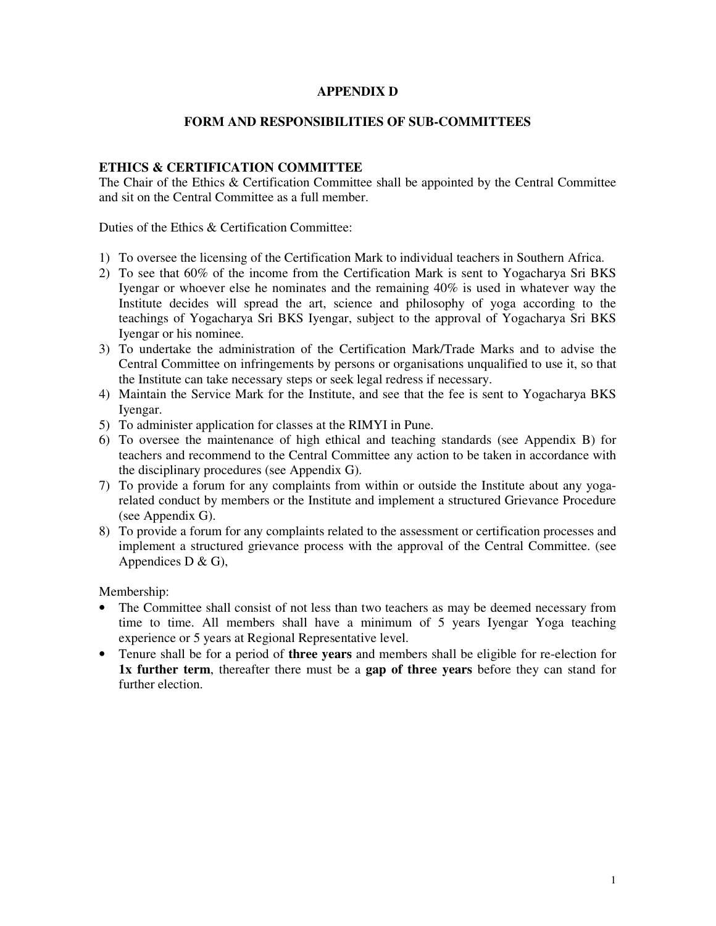### **APPENDIX D**

# **FORM AND RESPONSIBILITIES OF SUB-COMMITTEES**

# **ETHICS & CERTIFICATION COMMITTEE**

The Chair of the Ethics & Certification Committee shall be appointed by the Central Committee and sit on the Central Committee as a full member.

Duties of the Ethics & Certification Committee:

- 1) To oversee the licensing of the Certification Mark to individual teachers in Southern Africa.
- 2) To see that 60% of the income from the Certification Mark is sent to Yogacharya Sri BKS Iyengar or whoever else he nominates and the remaining 40% is used in whatever way the Institute decides will spread the art, science and philosophy of yoga according to the teachings of Yogacharya Sri BKS Iyengar, subject to the approval of Yogacharya Sri BKS Iyengar or his nominee.
- 3) To undertake the administration of the Certification Mark/Trade Marks and to advise the Central Committee on infringements by persons or organisations unqualified to use it, so that the Institute can take necessary steps or seek legal redress if necessary.
- 4) Maintain the Service Mark for the Institute, and see that the fee is sent to Yogacharya BKS Iyengar.
- 5) To administer application for classes at the RIMYI in Pune.
- 6) To oversee the maintenance of high ethical and teaching standards (see Appendix B) for teachers and recommend to the Central Committee any action to be taken in accordance with the disciplinary procedures (see Appendix G).
- 7) To provide a forum for any complaints from within or outside the Institute about any yogarelated conduct by members or the Institute and implement a structured Grievance Procedure (see Appendix G).
- 8) To provide a forum for any complaints related to the assessment or certification processes and implement a structured grievance process with the approval of the Central Committee. (see Appendices  $D & G$ ),

Membership:

- The Committee shall consist of not less than two teachers as may be deemed necessary from time to time. All members shall have a minimum of 5 years Iyengar Yoga teaching experience or 5 years at Regional Representative level.
- Tenure shall be for a period of **three years** and members shall be eligible for re-election for **1x further term**, thereafter there must be a **gap of three years** before they can stand for further election.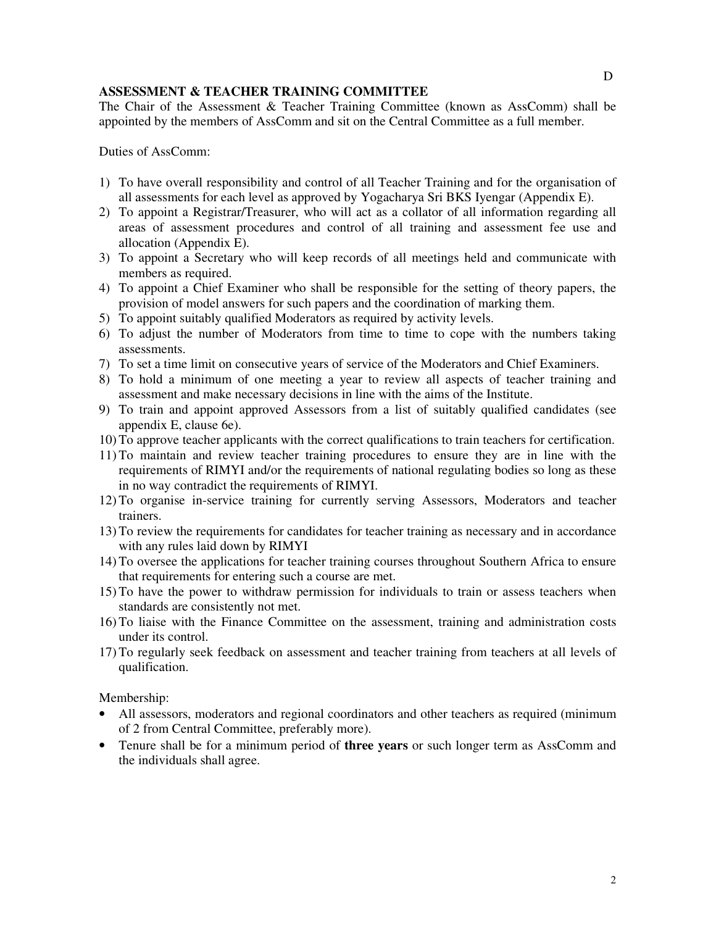### **ASSESSMENT & TEACHER TRAINING COMMITTEE**

The Chair of the Assessment & Teacher Training Committee (known as AssComm) shall be appointed by the members of AssComm and sit on the Central Committee as a full member.

Duties of AssComm:

- 1) To have overall responsibility and control of all Teacher Training and for the organisation of all assessments for each level as approved by Yogacharya Sri BKS Iyengar (Appendix E).
- 2) To appoint a Registrar/Treasurer, who will act as a collator of all information regarding all areas of assessment procedures and control of all training and assessment fee use and allocation (Appendix E).
- 3) To appoint a Secretary who will keep records of all meetings held and communicate with members as required.
- 4) To appoint a Chief Examiner who shall be responsible for the setting of theory papers, the provision of model answers for such papers and the coordination of marking them.
- 5) To appoint suitably qualified Moderators as required by activity levels.
- 6) To adjust the number of Moderators from time to time to cope with the numbers taking assessments.
- 7) To set a time limit on consecutive years of service of the Moderators and Chief Examiners.
- 8) To hold a minimum of one meeting a year to review all aspects of teacher training and assessment and make necessary decisions in line with the aims of the Institute.
- 9) To train and appoint approved Assessors from a list of suitably qualified candidates (see appendix E, clause 6e).
- 10) To approve teacher applicants with the correct qualifications to train teachers for certification.
- 11) To maintain and review teacher training procedures to ensure they are in line with the requirements of RIMYI and/or the requirements of national regulating bodies so long as these in no way contradict the requirements of RIMYI.
- 12) To organise in-service training for currently serving Assessors, Moderators and teacher trainers.
- 13) To review the requirements for candidates for teacher training as necessary and in accordance with any rules laid down by RIMYI
- 14) To oversee the applications for teacher training courses throughout Southern Africa to ensure that requirements for entering such a course are met.
- 15) To have the power to withdraw permission for individuals to train or assess teachers when standards are consistently not met.
- 16) To liaise with the Finance Committee on the assessment, training and administration costs under its control.
- 17) To regularly seek feedback on assessment and teacher training from teachers at all levels of qualification.

Membership:

- All assessors, moderators and regional coordinators and other teachers as required (minimum of 2 from Central Committee, preferably more).
- Tenure shall be for a minimum period of **three years** or such longer term as AssComm and the individuals shall agree.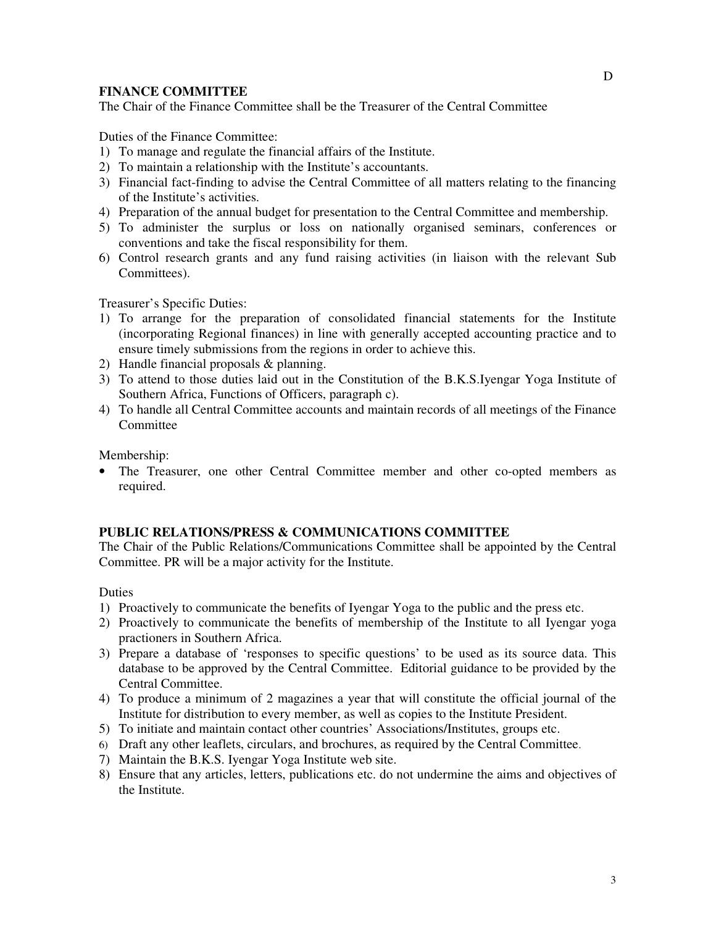#### **FINANCE COMMITTEE**

The Chair of the Finance Committee shall be the Treasurer of the Central Committee

Duties of the Finance Committee:

- 1) To manage and regulate the financial affairs of the Institute.
- 2) To maintain a relationship with the Institute's accountants.
- 3) Financial fact-finding to advise the Central Committee of all matters relating to the financing of the Institute's activities.
- 4) Preparation of the annual budget for presentation to the Central Committee and membership.
- 5) To administer the surplus or loss on nationally organised seminars, conferences or conventions and take the fiscal responsibility for them.
- 6) Control research grants and any fund raising activities (in liaison with the relevant Sub Committees).

Treasurer's Specific Duties:

- 1) To arrange for the preparation of consolidated financial statements for the Institute (incorporating Regional finances) in line with generally accepted accounting practice and to ensure timely submissions from the regions in order to achieve this.
- 2) Handle financial proposals & planning.
- 3) To attend to those duties laid out in the Constitution of the B.K.S.Iyengar Yoga Institute of Southern Africa, Functions of Officers, paragraph c).
- 4) To handle all Central Committee accounts and maintain records of all meetings of the Finance **Committee**

Membership:

• The Treasurer, one other Central Committee member and other co-opted members as required.

#### **PUBLIC RELATIONS/PRESS & COMMUNICATIONS COMMITTEE**

The Chair of the Public Relations/Communications Committee shall be appointed by the Central Committee. PR will be a major activity for the Institute.

Duties

- 1) Proactively to communicate the benefits of Iyengar Yoga to the public and the press etc.
- 2) Proactively to communicate the benefits of membership of the Institute to all Iyengar yoga practioners in Southern Africa.
- 3) Prepare a database of 'responses to specific questions' to be used as its source data. This database to be approved by the Central Committee. Editorial guidance to be provided by the Central Committee.
- 4) To produce a minimum of 2 magazines a year that will constitute the official journal of the Institute for distribution to every member, as well as copies to the Institute President.
- 5) To initiate and maintain contact other countries' Associations/Institutes, groups etc.
- 6) Draft any other leaflets, circulars, and brochures, as required by the Central Committee.
- 7) Maintain the B.K.S. Iyengar Yoga Institute web site.
- 8) Ensure that any articles, letters, publications etc. do not undermine the aims and objectives of the Institute.